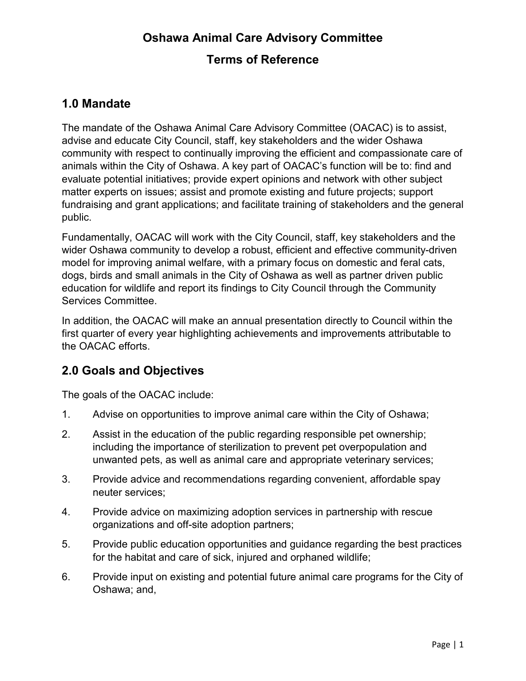# **Oshawa Animal Care Advisory Committee**

## **Terms of Reference**

# **1.0 Mandate**

The mandate of the Oshawa Animal Care Advisory Committee (OACAC) is to assist, advise and educate City Council, staff, key stakeholders and the wider Oshawa community with respect to continually improving the efficient and compassionate care of animals within the City of Oshawa. A key part of OACAC's function will be to: find and evaluate potential initiatives; provide expert opinions and network with other subject matter experts on issues; assist and promote existing and future projects; support fundraising and grant applications; and facilitate training of stakeholders and the general public.

Fundamentally, OACAC will work with the City Council, staff, key stakeholders and the wider Oshawa community to develop a robust, efficient and effective community-driven model for improving animal welfare, with a primary focus on domestic and feral cats, dogs, birds and small animals in the City of Oshawa as well as partner driven public education for wildlife and report its findings to City Council through the Community Services Committee.

In addition, the OACAC will make an annual presentation directly to Council within the first quarter of every year highlighting achievements and improvements attributable to the OACAC efforts.

# **2.0 Goals and Objectives**

The goals of the OACAC include:

- 1. Advise on opportunities to improve animal care within the City of Oshawa;
- 2. Assist in the education of the public regarding responsible pet ownership; including the importance of sterilization to prevent pet overpopulation and unwanted pets, as well as animal care and appropriate veterinary services;
- 3. Provide advice and recommendations regarding convenient, affordable spay neuter services;
- 4. Provide advice on maximizing adoption services in partnership with rescue organizations and off-site adoption partners;
- 5. Provide public education opportunities and guidance regarding the best practices for the habitat and care of sick, injured and orphaned wildlife;
- 6. Provide input on existing and potential future animal care programs for the City of Oshawa; and,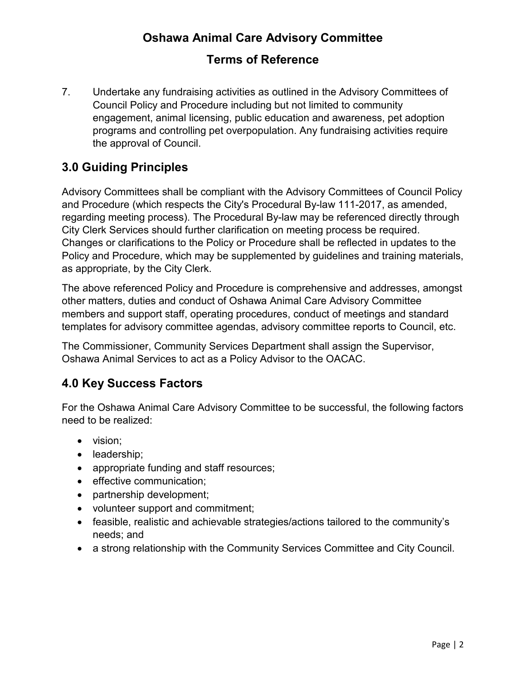# **Oshawa Animal Care Advisory Committee**

# **Terms of Reference**

7. Undertake any fundraising activities as outlined in the Advisory Committees of Council Policy and Procedure including but not limited to community engagement, animal licensing, public education and awareness, pet adoption programs and controlling pet overpopulation. Any fundraising activities require the approval of Council.

## **3.0 Guiding Principles**

Advisory Committees shall be compliant with the Advisory Committees of Council Policy and Procedure (which respects the City's Procedural By-law 111-2017, as amended, regarding meeting process). The Procedural By-law may be referenced directly through City Clerk Services should further clarification on meeting process be required. Changes or clarifications to the Policy or Procedure shall be reflected in updates to the Policy and Procedure, which may be supplemented by guidelines and training materials, as appropriate, by the City Clerk.

The above referenced Policy and Procedure is comprehensive and addresses, amongst other matters, duties and conduct of Oshawa Animal Care Advisory Committee members and support staff, operating procedures, conduct of meetings and standard templates for advisory committee agendas, advisory committee reports to Council, etc.

The Commissioner, Community Services Department shall assign the Supervisor, Oshawa Animal Services to act as a Policy Advisor to the OACAC.

# **4.0 Key Success Factors**

For the Oshawa Animal Care Advisory Committee to be successful, the following factors need to be realized:

- vision;
- leadership;
- appropriate funding and staff resources;
- effective communication;
- partnership development;
- volunteer support and commitment;
- feasible, realistic and achievable strategies/actions tailored to the community's needs; and
- a strong relationship with the Community Services Committee and City Council.